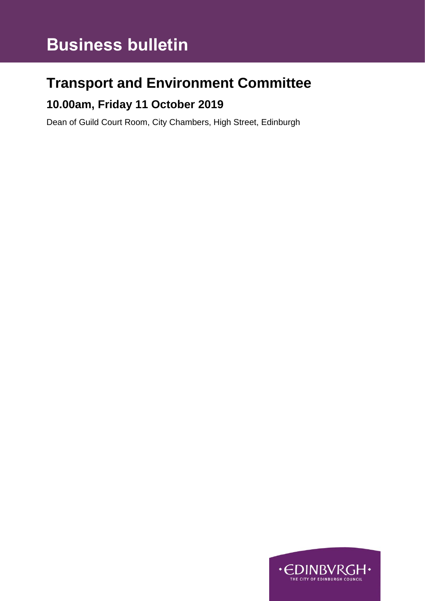# **Business bulletin**

## **Transport and Environment Committee**

### **10.00am, Friday 11 October 2019**

Dean of Guild Court Room, City Chambers, High Street, Edinburgh

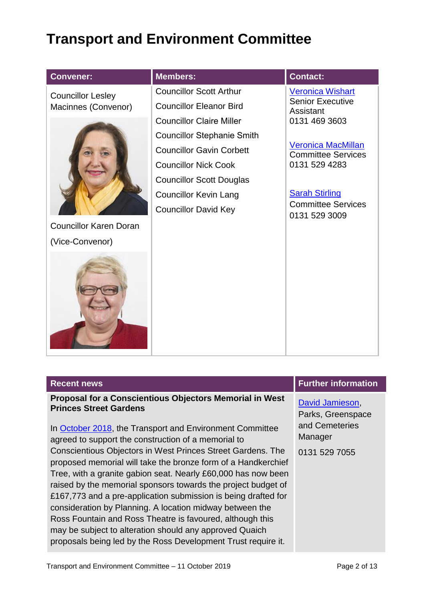## **Transport and Environment Committee**

| <b>Convener:</b>              | <b>Members:</b>                   | <b>Contact:</b>                                                                  |
|-------------------------------|-----------------------------------|----------------------------------------------------------------------------------|
| <b>Councillor Lesley</b>      | <b>Councillor Scott Arthur</b>    | <b>Veronica Wishart</b><br><b>Senior Executive</b><br>Assistant<br>0131 469 3603 |
| Macinnes (Convenor)           | <b>Councillor Eleanor Bird</b>    |                                                                                  |
|                               | <b>Councillor Claire Miller</b>   |                                                                                  |
|                               | <b>Councillor Stephanie Smith</b> | <b>Veronica MacMillan</b><br><b>Committee Services</b>                           |
|                               | <b>Councillor Gavin Corbett</b>   |                                                                                  |
|                               | <b>Councillor Nick Cook</b>       | 0131 529 4283                                                                    |
|                               | <b>Councillor Scott Douglas</b>   |                                                                                  |
|                               | <b>Councillor Kevin Lang</b>      | <b>Sarah Stirling</b>                                                            |
|                               | <b>Councillor David Key</b>       | <b>Committee Services</b><br>0131 529 3009                                       |
| <b>Councillor Karen Doran</b> |                                   |                                                                                  |
| (Vice-Convenor)               |                                   |                                                                                  |
|                               |                                   |                                                                                  |

| <b>Recent news</b>                                                                                                                                                                                                                                                                                                                                                                                                                                                                                                                                                                                                                                                                                                                                                                                          | <b>Further information</b>                                                         |
|-------------------------------------------------------------------------------------------------------------------------------------------------------------------------------------------------------------------------------------------------------------------------------------------------------------------------------------------------------------------------------------------------------------------------------------------------------------------------------------------------------------------------------------------------------------------------------------------------------------------------------------------------------------------------------------------------------------------------------------------------------------------------------------------------------------|------------------------------------------------------------------------------------|
| <b>Proposal for a Conscientious Objectors Memorial in West</b><br><b>Princes Street Gardens</b><br>In October 2018, the Transport and Environment Committee<br>agreed to support the construction of a memorial to<br>Conscientious Objectors in West Princes Street Gardens. The<br>proposed memorial will take the bronze form of a Handkerchief<br>Tree, with a granite gabion seat. Nearly £60,000 has now been<br>raised by the memorial sponsors towards the project budget of<br>£167,773 and a pre-application submission is being drafted for<br>consideration by Planning. A location midway between the<br>Ross Fountain and Ross Theatre is favoured, although this<br>may be subject to alteration should any approved Quaich<br>proposals being led by the Ross Development Trust require it. | David Jamieson,<br>Parks, Greenspace<br>and Cemeteries<br>Manager<br>0131 529 7055 |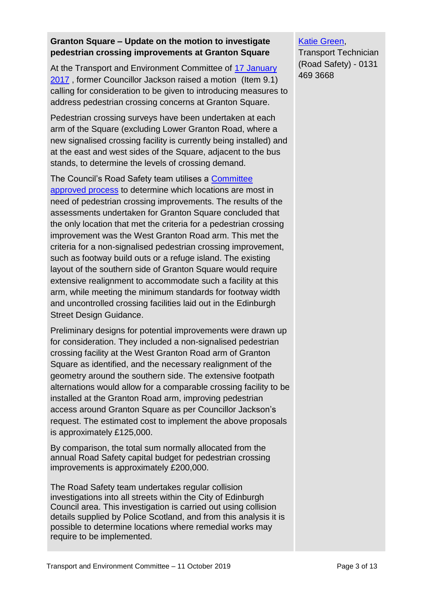#### **Granton Square – Update on the motion to investigate pedestrian crossing improvements at Granton Square**

At the Transport and Environment Committee of [17 January](https://democracy.edinburgh.gov.uk/CeListDocuments.aspx?CommitteeId=136&MeetingId=4748&DF=17%2f01%2f2017&Ver=2)  [2017](https://democracy.edinburgh.gov.uk/CeListDocuments.aspx?CommitteeId=136&MeetingId=4748&DF=17%2f01%2f2017&Ver=2) , former Councillor Jackson raised a motion (Item 9.1) calling for consideration to be given to introducing measures to address pedestrian crossing concerns at Granton Square.

Pedestrian crossing surveys have been undertaken at each arm of the Square (excluding Lower Granton Road, where a new signalised crossing facility is currently being installed) and at the east and west sides of the Square, adjacent to the bus stands, to determine the levels of crossing demand.

The Council's Road Safety team utilises a [Committee](http://www.edinburgh.gov.uk/download/meetings/id/8638/pedestrian_crossing_prioritisation_process)  [approved process](http://www.edinburgh.gov.uk/download/meetings/id/8638/pedestrian_crossing_prioritisation_process) to determine which locations are most in need of pedestrian crossing improvements. The results of the assessments undertaken for Granton Square concluded that the only location that met the criteria for a pedestrian crossing improvement was the West Granton Road arm. This met the criteria for a non-signalised pedestrian crossing improvement, such as footway build outs or a refuge island. The existing layout of the southern side of Granton Square would require extensive realignment to accommodate such a facility at this arm, while meeting the minimum standards for footway width and uncontrolled crossing facilities laid out in the Edinburgh Street Design Guidance.

Preliminary designs for potential improvements were drawn up for consideration. They included a non-signalised pedestrian crossing facility at the West Granton Road arm of Granton Square as identified, and the necessary realignment of the geometry around the southern side. The extensive footpath alternations would allow for a comparable crossing facility to be installed at the Granton Road arm, improving pedestrian access around Granton Square as per Councillor Jackson's request. The estimated cost to implement the above proposals is approximately £125,000.

By comparison, the total sum normally allocated from the annual Road Safety capital budget for pedestrian crossing improvements is approximately £200,000.

The Road Safety team undertakes regular collision investigations into all streets within the City of Edinburgh Council area. This investigation is carried out using collision details supplied by Police Scotland, and from this analysis it is possible to determine locations where remedial works may require to be implemented.

#### [Katie Green,](mailto:katie.green%20@edinburgh.gov.uk)

Transport Technician (Road Safety) - 0131 469 3668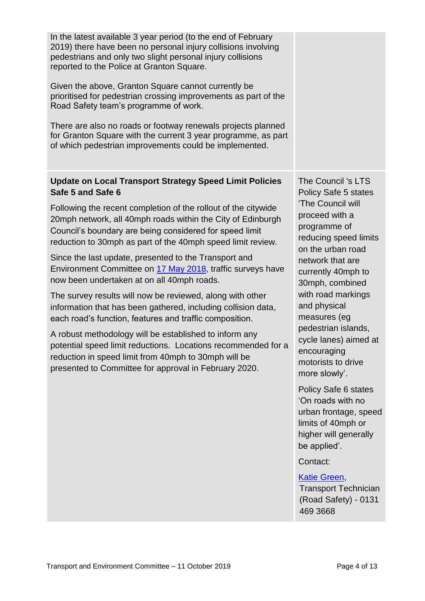| In the latest available 3 year period (to the end of February<br>2019) there have been no personal injury collisions involving<br>pedestrians and only two slight personal injury collisions<br>reported to the Police at Granton Square.               |                                                                                                                                   |
|---------------------------------------------------------------------------------------------------------------------------------------------------------------------------------------------------------------------------------------------------------|-----------------------------------------------------------------------------------------------------------------------------------|
| Given the above, Granton Square cannot currently be<br>prioritised for pedestrian crossing improvements as part of the<br>Road Safety team's programme of work.                                                                                         |                                                                                                                                   |
| There are also no roads or footway renewals projects planned<br>for Granton Square with the current 3 year programme, as part<br>of which pedestrian improvements could be implemented.                                                                 |                                                                                                                                   |
| <b>Update on Local Transport Strategy Speed Limit Policies</b><br>Safe 5 and Safe 6                                                                                                                                                                     | The Council 's LTS<br>Policy Safe 5 states                                                                                        |
| Following the recent completion of the rollout of the citywide<br>20mph network, all 40mph roads within the City of Edinburgh<br>Council's boundary are being considered for speed limit<br>reduction to 30mph as part of the 40mph speed limit review. | 'The Council will<br>proceed with a<br>programme of<br>reducing speed limits<br>on the urban road                                 |
| Since the last update, presented to the Transport and<br>Environment Committee on 17 May 2018, traffic surveys have<br>now been undertaken at on all 40mph roads.                                                                                       | network that are<br>currently 40mph to<br>30mph, combined                                                                         |
| The survey results will now be reviewed, along with other<br>information that has been gathered, including collision data,<br>each road's function, features and traffic composition.                                                                   | with road markings<br>and physical<br>measures (eg                                                                                |
| A robust methodology will be established to inform any<br>potential speed limit reductions. Locations recommended for a<br>reduction in speed limit from 40mph to 30mph will be<br>presented to Committee for approval in February 2020.                | pedestrian islands,<br>cycle lanes) aimed at<br>encouraging<br>motorists to drive<br>more slowly'.                                |
|                                                                                                                                                                                                                                                         | Policy Safe 6 states<br>'On roads with no<br>urban frontage, speed<br>limits of 40mph or<br>higher will generally<br>be applied'. |
|                                                                                                                                                                                                                                                         | Contact:                                                                                                                          |
|                                                                                                                                                                                                                                                         | <b>Katie Green,</b><br><b>Transport Technician</b><br>(Road Safety) - 0131                                                        |

Transport and Environment Committee - 11 October 2019 **Page 4 of 13** 

469 3668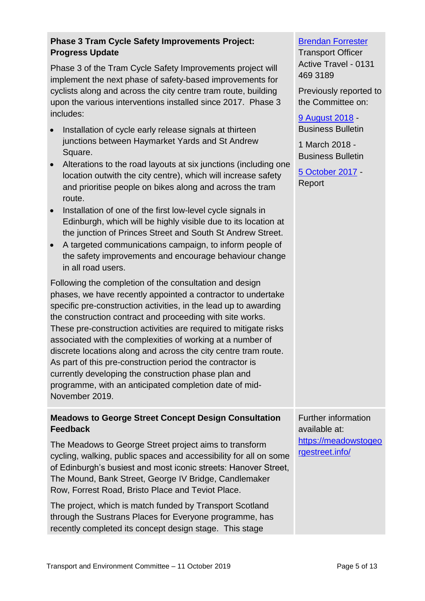#### **Phase 3 Tram Cycle Safety Improvements Project: Progress Update**

Phase 3 of the Tram Cycle Safety Improvements project will implement the next phase of safety-based improvements for cyclists along and across the city centre tram route, building upon the various interventions installed since 2017. Phase 3 includes:

- Installation of cycle early release signals at thirteen junctions between Haymarket Yards and St Andrew Square.
- Alterations to the road layouts at six junctions (including one location outwith the city centre), which will increase safety and prioritise people on bikes along and across the tram route.
- Installation of one of the first low-level cycle signals in Edinburgh, which will be highly visible due to its location at the junction of Princes Street and South St Andrew Street.
- A targeted communications campaign, to inform people of the safety improvements and encourage behaviour change in all road users.

Following the completion of the consultation and design phases, we have recently appointed a contractor to undertake specific pre-construction activities, in the lead up to awarding the construction contract and proceeding with site works. These pre-construction activities are required to mitigate risks associated with the complexities of working at a number of discrete locations along and across the city centre tram route. As part of this pre-construction period the contractor is currently developing the construction phase plan and programme, with an anticipated completion date of mid-November 2019.

#### **Meadows to George Street Concept Design Consultation Feedback**

The Meadows to George Street project aims to transform cycling, walking, public spaces and accessibility for all on some of Edinburgh's busiest and most iconic streets: Hanover Street, The Mound, Bank Street, George IV Bridge, Candlemaker Row, Forrest Road, Bristo Place and Teviot Place.

The project, which is match funded by Transport Scotland through the Sustrans Places for Everyone programme, has recently completed its concept design stage. This stage

#### [Brendan Forrester](mailto:Brendan.Forrester@edinburgh.gov.uk)

Transport Officer Active Travel - 0131 469 3189

Previously reported to the Committee on:

[9 August 2018](https://democracy.edinburgh.gov.uk/Data/Transport%20and%20Environment%20Committee/20180809/Agenda/item_61_-_business_bulletin_-_version_2.pdf) - Business Bulletin

1 March 2018 - Business Bulletin

[5 October 2017](https://democracy.edinburgh.gov.uk/Data/Transport%20and%20Environment%20Committee/20171005/Agenda/item_77_-_review_of_infrastructure_at_the_west_end_of_princes_street_and_tram_infrastructure_in_the_city_centre_and_.pdf) - Report

Further information available at: [https://meadowstogeo](https://meadowstogeorgestreet.info/) [rgestreet.info/](https://meadowstogeorgestreet.info/)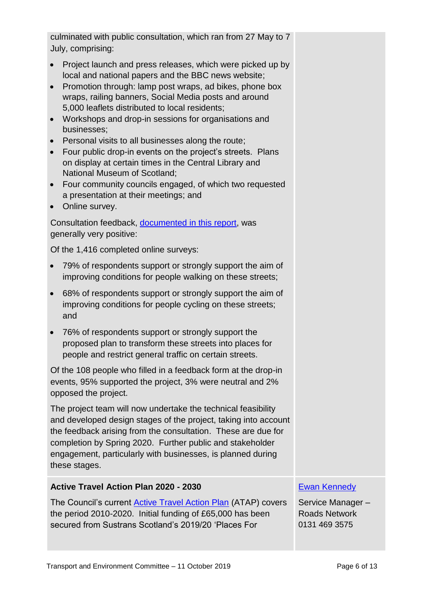culminated with public consultation, which ran from 27 May to 7 July, comprising:

- Project launch and press releases, which were picked up by local and national papers and the BBC news website;
- Promotion through: lamp post wraps, ad bikes, phone box wraps, railing banners, Social Media posts and around 5,000 leaflets distributed to local residents;
- Workshops and drop-in sessions for organisations and businesses;
- Personal visits to all businesses along the route;
- Four public drop-in events on the project's streets. Plans on display at certain times in the Central Library and National Museum of Scotland;
- Four community councils engaged, of which two requested a presentation at their meetings; and
- Online survey.

Consultation feedback, [documented in this report,](https://meadowstogeorgestreet.info/consultation/) was generally very positive:

Of the 1,416 completed online surveys:

- 79% of respondents support or strongly support the aim of improving conditions for people walking on these streets;
- 68% of respondents support or strongly support the aim of improving conditions for people cycling on these streets; and
- 76% of respondents support or strongly support the proposed plan to transform these streets into places for people and restrict general traffic on certain streets.

Of the 108 people who filled in a feedback form at the drop-in events, 95% supported the project, 3% were neutral and 2% opposed the project.

The project team will now undertake the technical feasibility and developed design stages of the project, taking into account the feedback arising from the consultation. These are due for completion by Spring 2020. Further public and stakeholder engagement, particularly with businesses, is planned during these stages.

#### **Active Travel Action Plan 2020 - 2030**

The Council's current [Active Travel Action Plan](http://www.edinburgh.gov.uk/downloads/file/7316/active_travel_action_plan_2016_refresh) (ATAP) covers the period 2010-2020. Initial funding of £65,000 has been secured from Sustrans Scotland's 2019/20 'Places For

#### [Ewan Kennedy](mailto:ewan.kennedy@edinburgh.gov.uk)

Service Manager – Roads Network 0131 469 3575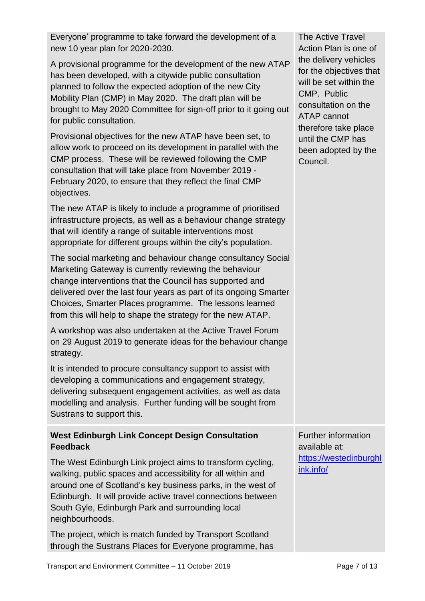Everyone' programme to take forward the development of a new 10 year plan for 2020-2030.

A provisional programme for the development of the new ATAP has been developed, with a citywide public consultation planned to follow the expected adoption of the new City Mobility Plan (CMP) in May 2020. The draft plan will be brought to May 2020 Committee for sign-off prior to it going out for public consultation.

Provisional objectives for the new ATAP have been set, to allow work to proceed on its development in parallel with the CMP process. These will be reviewed following the CMP consultation that will take place from November 2019 - February 2020, to ensure that they reflect the final CMP objectives.

The new ATAP is likely to include a programme of prioritised infrastructure projects, as well as a behaviour change strategy that will identify a range of suitable interventions most appropriate for different groups within the city's population.

The social marketing and behaviour change consultancy Social Marketing Gateway is currently reviewing the behaviour change interventions that the Council has supported and delivered over the last four years as part of its ongoing Smarter Choices, Smarter Places programme. The lessons learned from this will help to shape the strategy for the new ATAP.

A workshop was also undertaken at the Active Travel Forum on 29 August 2019 to generate ideas for the behaviour change strategy.

It is intended to procure consultancy support to assist with developing a communications and engagement strategy, delivering subsequent engagement activities, as well as data modelling and analysis. Further funding will be sought from Sustrans to support this.

#### **West Edinburgh Link Concept Design Consultation Feedback**

The West Edinburgh Link project aims to transform cycling, walking, public spaces and accessibility for all within and around one of Scotland's key business parks, in the west of Edinburgh. It will provide active travel connections between South Gyle, Edinburgh Park and surrounding local neighbourhoods.

The project, which is match funded by Transport Scotland through the Sustrans Places for Everyone programme, has

The Active Travel Action Plan is one of the delivery vehicles for the objectives that will be set within the CMP. Public consultation on the ATAP cannot therefore take place until the CMP has been adopted by the Council.

Further information

[https://westedinburghl](https://westedinburghlink.info/)

available at:

[ink.info/](https://westedinburghlink.info/)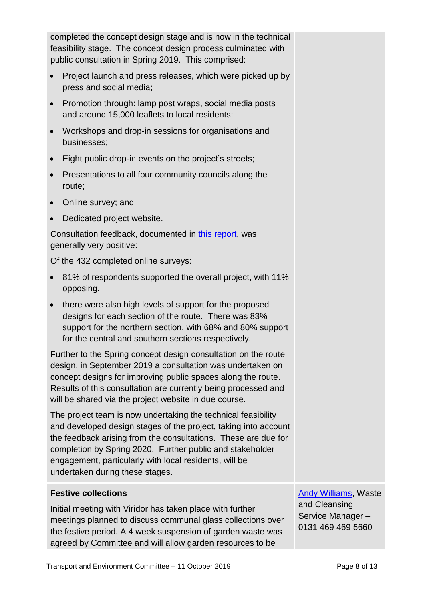completed the concept design stage and is now in the technical feasibility stage. The concept design process culminated with public consultation in Spring 2019. This comprised:

- Project launch and press releases, which were picked up by press and social media;
- Promotion through: lamp post wraps, social media posts and around 15,000 leaflets to local residents;
- Workshops and drop-in sessions for organisations and businesses;
- Eight public drop-in events on the project's streets;
- Presentations to all four community councils along the route;
- Online survey; and
- Dedicated project website.

Consultation feedback, documented in [this report,](https://westedinburghlink.info/wp-content/uploads/2019/07/Concept-Design-Consultation-summary-report-v2.pdf) was generally very positive:

Of the 432 completed online surveys:

- 81% of respondents supported the overall project, with 11% opposing.
- there were also high levels of support for the proposed designs for each section of the route. There was 83% support for the northern section, with 68% and 80% support for the central and southern sections respectively.

Further to the Spring concept design consultation on the route design, in September 2019 a consultation was undertaken on concept designs for improving public spaces along the route. Results of this consultation are currently being processed and will be shared via the project website in due course.

The project team is now undertaking the technical feasibility and developed design stages of the project, taking into account the feedback arising from the consultations. These are due for completion by Spring 2020. Further public and stakeholder engagement, particularly with local residents, will be undertaken during these stages.

#### **Festive collections**

Initial meeting with Viridor has taken place with further meetings planned to discuss communal glass collections over the festive period. A 4 week suspension of garden waste was agreed by Committee and will allow garden resources to be

[Andy Williams,](mailto:Andy.Williams@edinburgh.gov.uk) Waste and Cleansing Service Manager – 0131 469 469 5660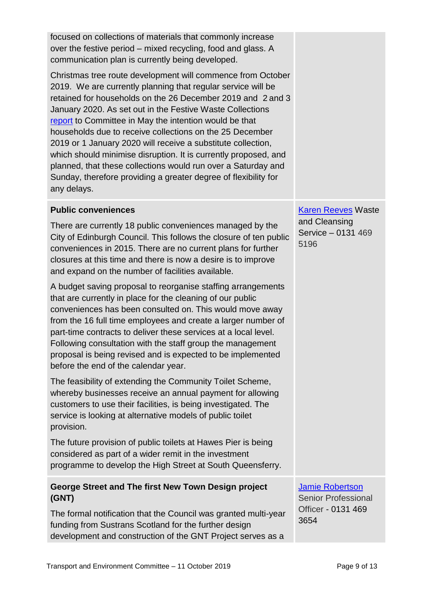| focused on collections of materials that commonly increase<br>over the festive period – mixed recycling, food and glass. A<br>communication plan is currently being developed.<br>Christmas tree route development will commence from October<br>2019. We are currently planning that regular service will be<br>retained for households on the 26 December 2019 and 2 and 3<br>January 2020. As set out in the Festive Waste Collections<br>report to Committee in May the intention would be that<br>households due to receive collections on the 25 December<br>2019 or 1 January 2020 will receive a substitute collection,<br>which should minimise disruption. It is currently proposed, and<br>planned, that these collections would run over a Saturday and<br>Sunday, therefore providing a greater degree of flexibility for<br>any delays. |                                                      |
|-------------------------------------------------------------------------------------------------------------------------------------------------------------------------------------------------------------------------------------------------------------------------------------------------------------------------------------------------------------------------------------------------------------------------------------------------------------------------------------------------------------------------------------------------------------------------------------------------------------------------------------------------------------------------------------------------------------------------------------------------------------------------------------------------------------------------------------------------------|------------------------------------------------------|
| <b>Public conveniences</b>                                                                                                                                                                                                                                                                                                                                                                                                                                                                                                                                                                                                                                                                                                                                                                                                                            | <b>Karen Reeves Waste</b>                            |
| There are currently 18 public conveniences managed by the<br>City of Edinburgh Council. This follows the closure of ten public<br>conveniences in 2015. There are no current plans for further<br>closures at this time and there is now a desire is to improve<br>and expand on the number of facilities available.                                                                                                                                                                                                                                                                                                                                                                                                                                                                                                                                  | and Cleansing<br>Service - 0131 469<br>5196          |
| A budget saving proposal to reorganise staffing arrangements<br>that are currently in place for the cleaning of our public<br>conveniences has been consulted on. This would move away<br>from the 16 full time employees and create a larger number of<br>part-time contracts to deliver these services at a local level.<br>Following consultation with the staff group the management<br>proposal is being revised and is expected to be implemented<br>before the end of the calendar year.                                                                                                                                                                                                                                                                                                                                                       |                                                      |
| The feasibility of extending the Community Toilet Scheme,<br>whereby businesses receive an annual payment for allowing<br>customers to use their facilities, is being investigated. The<br>service is looking at alternative models of public toilet<br>provision.                                                                                                                                                                                                                                                                                                                                                                                                                                                                                                                                                                                    |                                                      |
| The future provision of public toilets at Hawes Pier is being<br>considered as part of a wider remit in the investment<br>programme to develop the High Street at South Queensferry.                                                                                                                                                                                                                                                                                                                                                                                                                                                                                                                                                                                                                                                                  |                                                      |
| George Street and The first New Town Design project<br>(GNT)                                                                                                                                                                                                                                                                                                                                                                                                                                                                                                                                                                                                                                                                                                                                                                                          | <b>Jamie Robertson</b><br><b>Senior Professional</b> |
| The formal notification that the Council was granted multi-year<br>funding from Sustrans Scotland for the further design<br>development and construction of the GNT Project serves as a                                                                                                                                                                                                                                                                                                                                                                                                                                                                                                                                                                                                                                                               | Officer - 0131 469<br>3654                           |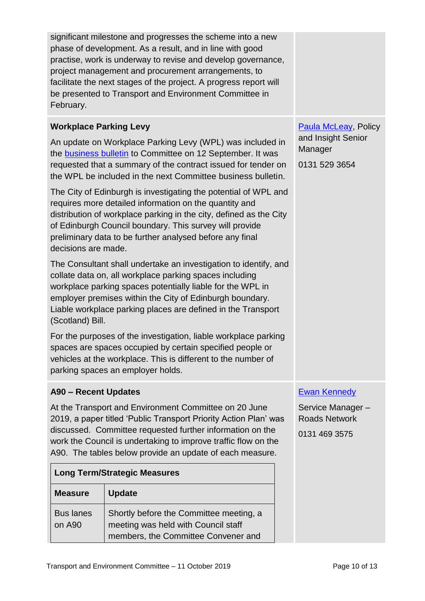| February.                     | significant milestone and progresses the scheme into a new<br>phase of development. As a result, and in line with good<br>practise, work is underway to revise and develop governance,<br>project management and procurement arrangements, to<br>facilitate the next stages of the project. A progress report will<br>be presented to Transport and Environment Committee in |                                                           |
|-------------------------------|------------------------------------------------------------------------------------------------------------------------------------------------------------------------------------------------------------------------------------------------------------------------------------------------------------------------------------------------------------------------------|-----------------------------------------------------------|
| <b>Workplace Parking Levy</b> |                                                                                                                                                                                                                                                                                                                                                                              | <b>Paula McLeay, Policy</b>                               |
|                               | An update on Workplace Parking Levy (WPL) was included in<br>the <b>business bulletin</b> to Committee on 12 September. It was<br>requested that a summary of the contract issued for tender on<br>the WPL be included in the next Committee business bulletin.                                                                                                              | and Insight Senior<br>Manager<br>0131 529 3654            |
| decisions are made.           | The City of Edinburgh is investigating the potential of WPL and<br>requires more detailed information on the quantity and<br>distribution of workplace parking in the city, defined as the City<br>of Edinburgh Council boundary. This survey will provide<br>preliminary data to be further analysed before any final                                                       |                                                           |
| (Scotland) Bill.              | The Consultant shall undertake an investigation to identify, and<br>collate data on, all workplace parking spaces including<br>workplace parking spaces potentially liable for the WPL in<br>employer premises within the City of Edinburgh boundary.<br>Liable workplace parking places are defined in the Transport                                                        |                                                           |
|                               | For the purposes of the investigation, liable workplace parking<br>spaces are spaces occupied by certain specified people or<br>vehicles at the workplace. This is different to the number of<br>parking spaces an employer holds.                                                                                                                                           |                                                           |
| A90 - Recent Updates          |                                                                                                                                                                                                                                                                                                                                                                              | <b>Ewan Kennedy</b>                                       |
|                               | At the Transport and Environment Committee on 20 June<br>2019, a paper titled 'Public Transport Priority Action Plan' was<br>discussed. Committee requested further information on the<br>work the Council is undertaking to improve traffic flow on the<br>A90. The tables below provide an update of each measure.                                                         | Service Manager-<br><b>Roads Network</b><br>0131 469 3575 |
|                               | <b>Long Term/Strategic Measures</b>                                                                                                                                                                                                                                                                                                                                          |                                                           |
| <b>Measure</b>                | <b>Update</b>                                                                                                                                                                                                                                                                                                                                                                |                                                           |
| <b>Bus lanes</b><br>on A90    | Shortly before the Committee meeting, a<br>meeting was held with Council staff<br>members, the Committee Convener and                                                                                                                                                                                                                                                        |                                                           |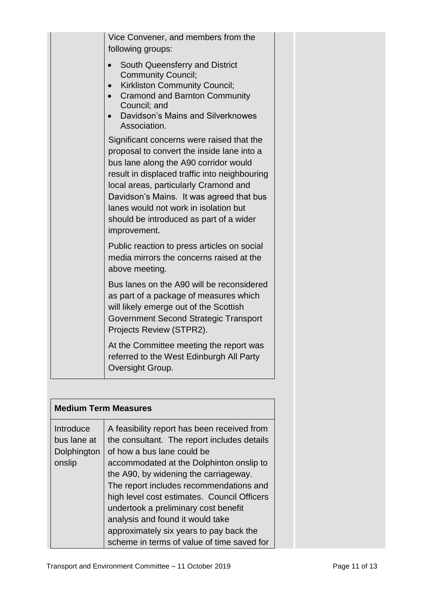|                                                   | Vice Convener, and members from the<br>following groups:                                                                                                                                                                                                                                                                                                                                                                       |  |
|---------------------------------------------------|--------------------------------------------------------------------------------------------------------------------------------------------------------------------------------------------------------------------------------------------------------------------------------------------------------------------------------------------------------------------------------------------------------------------------------|--|
|                                                   | South Queensferry and District<br><b>Community Council;</b><br><b>Kirkliston Community Council;</b><br><b>Cramond and Barnton Community</b><br>Council; and<br>Davidson's Mains and Silverknowes<br>Association.                                                                                                                                                                                                               |  |
|                                                   | Significant concerns were raised that the<br>proposal to convert the inside lane into a<br>bus lane along the A90 corridor would<br>result in displaced traffic into neighbouring<br>local areas, particularly Cramond and<br>Davidson's Mains. It was agreed that bus<br>lanes would not work in isolation but<br>should be introduced as part of a wider<br>improvement.                                                     |  |
|                                                   | Public reaction to press articles on social<br>media mirrors the concerns raised at the<br>above meeting.                                                                                                                                                                                                                                                                                                                      |  |
|                                                   | Bus lanes on the A90 will be reconsidered<br>as part of a package of measures which<br>will likely emerge out of the Scottish<br>Government Second Strategic Transport<br>Projects Review (STPR2).                                                                                                                                                                                                                             |  |
|                                                   | At the Committee meeting the report was<br>referred to the West Edinburgh All Party<br>Oversight Group.                                                                                                                                                                                                                                                                                                                        |  |
|                                                   | <b>Medium Term Measures</b>                                                                                                                                                                                                                                                                                                                                                                                                    |  |
| Introduce<br>bus lane at<br>Dolphington<br>onslip | A feasibility report has been received from<br>the consultant. The report includes details<br>of how a bus lane could be<br>accommodated at the Dolphinton onslip to<br>the A90, by widening the carriageway.<br>The report includes recommendations and<br>high level cost estimates. Council Officers<br>undertook a preliminary cost benefit<br>analysis and found it would take<br>approximately six years to pay back the |  |

scheme in terms of value of time saved for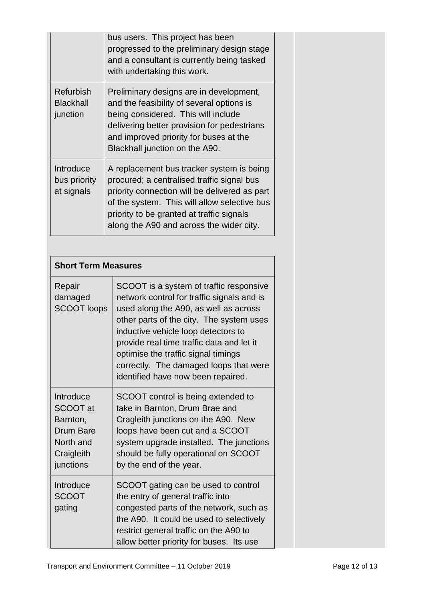|                                                  | bus users. This project has been<br>progressed to the preliminary design stage<br>and a consultant is currently being tasked<br>with undertaking this work.                                                                                                                       |
|--------------------------------------------------|-----------------------------------------------------------------------------------------------------------------------------------------------------------------------------------------------------------------------------------------------------------------------------------|
| <b>Refurbish</b><br><b>Blackhall</b><br>junction | Preliminary designs are in development,<br>and the feasibility of several options is<br>being considered. This will include<br>delivering better provision for pedestrians<br>and improved priority for buses at the<br>Blackhall junction on the A90.                            |
| Introduce<br>bus priority<br>at signals          | A replacement bus tracker system is being<br>procured; a centralised traffic signal bus<br>priority connection will be delivered as part<br>of the system. This will allow selective bus<br>priority to be granted at traffic signals<br>along the A90 and across the wider city. |

| <b>Short Term Measures</b>                                                                    |                                                                                                                                                                                                                                                                                                                                                                                       |
|-----------------------------------------------------------------------------------------------|---------------------------------------------------------------------------------------------------------------------------------------------------------------------------------------------------------------------------------------------------------------------------------------------------------------------------------------------------------------------------------------|
| Repair<br>damaged<br><b>SCOOT loops</b>                                                       | SCOOT is a system of traffic responsive<br>network control for traffic signals and is<br>used along the A90, as well as across<br>other parts of the city. The system uses<br>inductive vehicle loop detectors to<br>provide real time traffic data and let it<br>optimise the traffic signal timings<br>correctly. The damaged loops that were<br>identified have now been repaired. |
| Introduce<br>SCOOT at<br>Barnton,<br><b>Drum Bare</b><br>North and<br>Craigleith<br>junctions | SCOOT control is being extended to<br>take in Barnton, Drum Brae and<br>Cragleith junctions on the A90. New<br>loops have been cut and a SCOOT<br>system upgrade installed. The junctions<br>should be fully operational on SCOOT<br>by the end of the year.                                                                                                                          |
| Introduce<br><b>SCOOT</b><br>gating                                                           | SCOOT gating can be used to control<br>the entry of general traffic into<br>congested parts of the network, such as<br>the A90. It could be used to selectively<br>restrict general traffic on the A90 to<br>allow better priority for buses. Its use                                                                                                                                 |